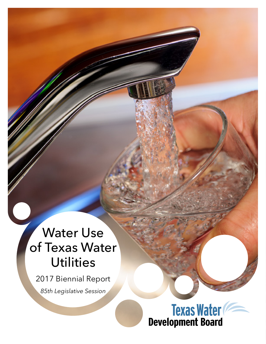# Water Use of Texas Water **Utilities**

2017 Biennial Report *85th Legislative Session*

**Texas Water**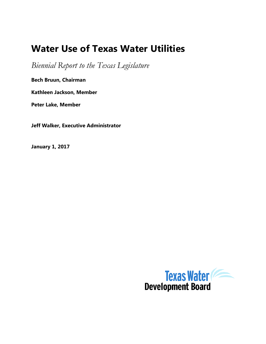## **Water Use of Texas Water Utilities**

*Biennial Report to the Texas Legislature* 

**Bech Bruun, Chairman**

**Kathleen Jackson, Member**

**Peter Lake, Member**

**Jeff Walker, Executive Administrator**

**January 1, 2017**

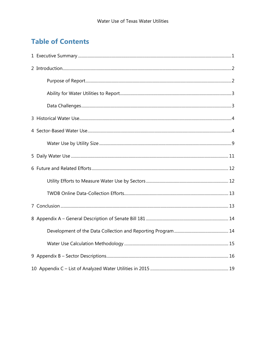### **Table of Contents**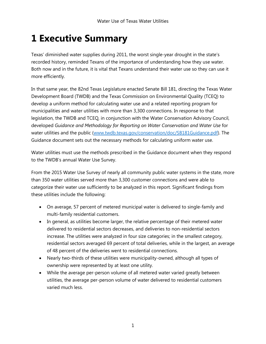## <span id="page-5-0"></span>**1 Executive Summary**

Texas' diminished water supplies during 2011, the worst single-year drought in the state's recorded history, reminded Texans of the importance of understanding how they use water. Both now and in the future, it is vital that Texans understand their water use so they can use it more efficiently.

In that same year, the 82nd Texas Legislature enacted Senate Bill 181, directing the Texas Water Development Board (TWDB) and the Texas Commission on Environmental Quality (TCEQ) to develop a uniform method for calculating water use and a related reporting program for municipalities and water utilities with more than 3,300 connections. In response to that legislation, the TWDB and TCEQ, in conjunction with the Water Conservation Advisory Council, developed *Guidance and Methodology for Reporting on Water Conservation and Water Use* for water utilities and the public (www.twdb.texas.gov/conservation/doc/SB181Guidance.pdf). The Guidance document sets out the necessary methods for calculating uniform water use.

Water utilities must use the methods prescribed in the Guidance document when they respond to the TWDB's annual Water Use Survey.

From the 2015 Water Use Survey of nearly all community public water systems in the state, more than 350 water utilities served more than 3,300 customer connections and were able to categorize their water use sufficiently to be analyzed in this report. Significant findings from these utilities include the following:

- On average, 57 percent of metered municipal water is delivered to single-family and multi-family residential customers.
- In general, as utilities become larger, the relative percentage of their metered water delivered to residential sectors decreases, and deliveries to non-residential sectors increase. The utilities were analyzed in four size categories; in the smallest category, residential sectors averaged 69 percent of total deliveries, while in the largest, an average of 48 percent of the deliveries went to residential connections.
- Nearly two-thirds of these utilities were municipality-owned, although all types of ownership were represented by at least one utility.
- While the average per-person volume of all metered water varied greatly between utilities, the average per-person volume of water delivered to residential customers varied much less.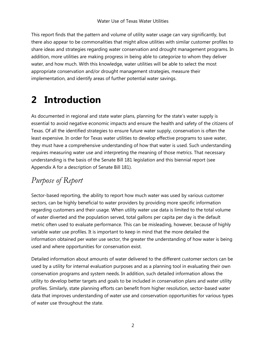This report finds that the pattern and volume of utility water usage can vary significantly, but there also appear to be commonalities that might allow utilities with similar customer profiles to share ideas and strategies regarding water conservation and drought management programs. In addition, more utilities are making progress in being able to categorize to whom they deliver water, and how much. With this knowledge, water utilities will be able to select the most appropriate conservation and/or drought management strategies, measure their implementation, and identify areas of further potential water savings.

## <span id="page-6-0"></span>**2 Introduction**

As documented in regional and state water plans, planning for the state's water supply is essential to avoid negative economic impacts and ensure the health and safety of the citizens of Texas. Of all the identified strategies to ensure future water supply, conservation is often the least expensive. In order for Texas water utilities to develop effective programs to save water, they must have a comprehensive understanding of how that water is used. Such understanding requires measuring water use and interpreting the meaning of those metrics. That necessary understanding is the basis of the Senate Bill 181 legislation and this biennial report (see Appendix A for a description of Senate Bill 181).

### <span id="page-6-1"></span>*Purpose of Report*

Sector-based reporting, the ability to report how much water was used by various customer sectors, can be highly beneficial to water providers by providing more specific information regarding customers and their usage. When utility water use data is limited to the total volume of water diverted and the population served, total gallons per capita per day is the default metric often used to evaluate performance. This can be misleading, however, because of highly variable water use profiles. It is important to keep in mind that the more detailed the information obtained per water use sector, the greater the understanding of how water is being used and where opportunities for conservation exist.

Detailed information about amounts of water delivered to the different customer sectors can be used by a utility for internal evaluation purposes and as a planning tool in evaluating their own conservation programs and system needs. In addition, such detailed information allows the utility to develop better targets and goals to be included in conservation plans and water utility profiles. Similarly, state planning efforts can benefit from higher resolution, sector-based water data that improves understanding of water use and conservation opportunities for various types of water use throughout the state.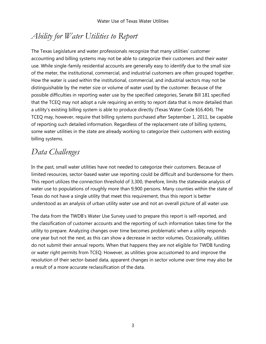## <span id="page-7-0"></span>*Ability for Water Utilities to Report*

The Texas Legislature and water professionals recognize that many utilities' customer accounting and billing systems may not be able to categorize their customers and their water use. While single-family residential accounts are generally easy to identify due to the small size of the meter, the institutional, commercial, and industrial customers are often grouped together. How the water is used within the institutional, commercial, and industrial sectors may not be distinguishable by the meter size or volume of water used by the customer. Because of the possible difficulties in reporting water use by the specified categories, Senate Bill 181 specified that the TCEQ may not adopt a rule requiring an entity to report data that is more detailed than a utility's existing billing system is able to produce directly (Texas Water Code §16.404). The TCEQ may, however, require that billing systems purchased after September 1, 2011, be capable of reporting such detailed information. Regardless of the replacement rate of billing systems, some water utilities in the state are already working to categorize their customers with existing billing systems.

### <span id="page-7-1"></span>*Data Challenges*

In the past, small water utilities have not needed to categorize their customers. Because of limited resources, sector-based water use reporting could be difficult and burdensome for them. This report utilizes the connection threshold of 3,300, therefore, limits the statewide analysis of water use to populations of roughly more than 9,900 persons. Many counties within the state of Texas do not have a single utility that meet this requirement, thus this report is better understood as an analysis of urban utility water use and not an overall picture of all water use.

The data from the TWDB's Water Use Survey used to prepare this report is self-reported, and the classification of customer accounts and the reporting of such information takes time for the utility to prepare. Analyzing changes over time becomes problematic when a utility responds one year but not the next, as this can show a decrease in sector volumes. Occasionally, utilities do not submit their annual reports. When that happens they are not eligible for TWDB funding or water right permits from TCEQ. However, as utilities grow accustomed to and improve the resolution of their sector-based data, apparent changes in sector volume over time may also be a result of a more accurate reclassification of the data.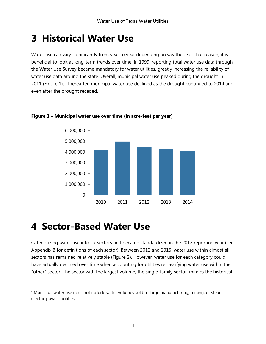## <span id="page-8-0"></span>**3 Historical Water Use**

Water use can vary significantly from year to year depending on weather. For that reason, it is beneficial to look at long-term trends over time. In 1999, reporting total water use data through the Water Use Survey became mandatory for water utilities, greatly increasing the reliability of water use data around the state. Overall, municipal water use peaked during the drought in 20[1](#page-8-2)1 (Figure 1).<sup>1</sup> Thereafter, municipal water use declined as the drought continued to 2014 and even after the drought receded.



### **Figure 1 – Municipal water use over time (in acre-feet per year)**

## <span id="page-8-1"></span>**4 Sector-Based Water Use**

Categorizing water use into six sectors first became standardized in the 2012 reporting year (see Appendix B for definitions of each sector). Between 2012 and 2015, water use within almost all sectors has remained relatively stable (Figure 2). However, water use for each category could have actually declined over time when accounting for utilities reclassifying water use within the "other" sector. The sector with the largest volume, the single-family sector, mimics the historical

<span id="page-8-2"></span><sup>1</sup> Municipal water use does not include water volumes sold to large manufacturing, mining, or steamelectric power facilities.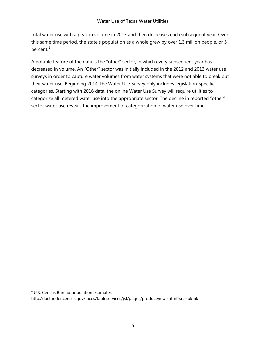total water use with a peak in volume in 2013 and then decreases each subsequent year. Over this same time period, the state's population as a whole grew by over 1.3 million people, or 5 percent.<sup>[2](#page-9-0)</sup>

A notable feature of the data is the "other" sector, in which every subsequent year has decreased in volume. An "Other" sector was initially included in the 2012 and 2013 water use surveys in order to capture water volumes from water systems that were not able to break out their water use. Beginning 2014, the Water Use Survey only includes legislation-specific categories. Starting with 2016 data, the online Water Use Survey will require utilities to categorize all metered water use into the appropriate sector. The decline in reported "other" sector water use reveals the improvement of categorization of water use over time.

<span id="page-9-0"></span><sup>2</sup> U.S. Census Bureau population estimates -

http://factfinder.census.gov/faces/tableservices/jsf/pages/productview.xhtml?src=bkmk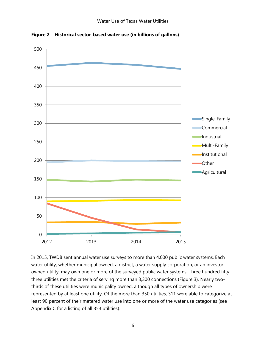

**Figure 2 – Historical sector-based water use (in billions of gallons)**

In 2015, TWDB sent annual water use surveys to more than 4,000 public water systems. Each water utility, whether municipal owned, a district, a water supply corporation, or an investorowned utility, may own one or more of the surveyed public water systems. Three hundred fiftythree utilities met the criteria of serving more than 3,300 connections (Figure 3). Nearly twothirds of these utilities were municipality owned, although all types of ownership were represented by at least one utility. Of the more than 350 utilities, 311 were able to categorize at least 90 percent of their metered water use into one or more of the water use categories (see Appendix C for a listing of all 353 utilities).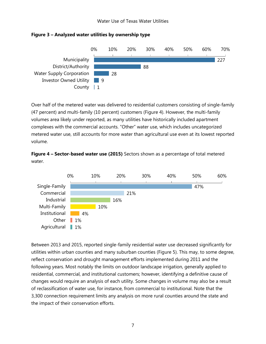#### Water Use of Texas Water Utilities



#### **Figure 3 – Analyzed water utilities by ownership type**

Over half of the metered water was delivered to residential customers consisting of single-family (47 percent) and multi-family (10 percent) customers (Figure 4). However, the multi-family volumes area likely under reported, as many utilities have historically included apartment complexes with the commercial accounts. "Other" water use, which includes uncategorized metered water use, still accounts for more water than agricultural use even at its lowest reported volume.

**Figure 4 – Sector-based water use (2015)** Sectors shown as a percentage of total metered water.



Between 2013 and 2015, reported single-family residential water use decreased significantly for utilities within urban counties and many suburban counties (Figure 5). This may, to some degree, reflect conservation and drought management efforts implemented during 2011 and the following years. Most notably the limits on outdoor landscape irrigation, generally applied to residential, commercial, and institutional customers; however, identifying a definitive cause of changes would require an analysis of each utility. Some changes in volume may also be a result of reclassification of water use, for instance, from commercial to institutional. Note that the 3,300 connection requirement limits any analysis on more rural counties around the state and the impact of their conservation efforts.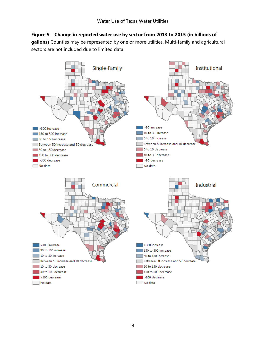### **Figure 5 – Change in reported water use by sector from 2013 to 2015 (in billions of**

**gallons)** Counties may be represented by one or more utilities. Multi-family and agricultural sectors are not included due to limited data.

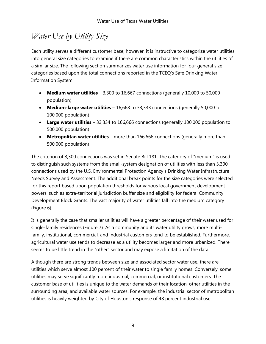### <span id="page-13-0"></span>*Water Use by Utility Size*

Each utility serves a different customer base; however, it is instructive to categorize water utilities into general size categories to examine if there are common characteristics within the utilities of a similar size. The following section summarizes water use information for four general size categories based upon the total connections reported in the TCEQ's Safe Drinking Water Information System:

- **Medium water utilities** 3,300 to 16,667 connections (generally 10,000 to 50,000 population)
- **Medium-large water utilities** 16,668 to 33,333 connections (generally 50,000 to 100,000 population)
- **Large water utilities**  33,334 to 166,666 connections (generally 100,000 population to 500,000 population)
- **Metropolitan water utilities** more than 166,666 connections (generally more than 500,000 population)

The criterion of 3,300 connections was set in Senate Bill 181. The category of "medium" is used to distinguish such systems from the small-system designation of utilities with less than 3,300 connections used by the U.S. Environmental Protection Agency's Drinking Water Infrastructure Needs Survey and Assessment. The additional break points for the size categories were selected for this report based upon population thresholds for various local government development powers, such as extra-territorial jurisdiction buffer size and eligibility for federal Community Development Block Grants. The vast majority of water utilities fall into the medium category (Figure 6).

It is generally the case that smaller utilities will have a greater percentage of their water used for single-family residences (Figure 7). As a community and its water utility grows, more multifamily, institutional, commercial, and industrial customers tend to be established. Furthermore, agricultural water use tends to decrease as a utility becomes larger and more urbanized. There seems to be little trend in the "other" sector and may expose a limitation of the data.

Although there are strong trends between size and associated sector water use, there are utilities which serve almost 100 percent of their water to single family homes. Conversely, some utilities may serve significantly more industrial, commercial, or institutional customers. The customer base of utilities is unique to the water demands of their location, other utilities in the surrounding area, and available water sources. For example, the industrial sector of metropolitan utilities is heavily weighted by City of Houston's response of 48 percent industrial use.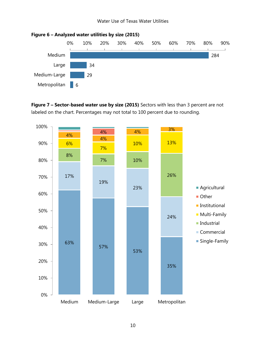

**Figure 6 – Analyzed water utilities by size (2015)**

**Figure 7 – Sector-based water use by size (2015)** Sectors with less than 3 percent are not labeled on the chart. Percentages may not total to 100 percent due to rounding.

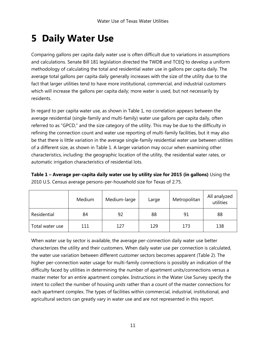## <span id="page-15-0"></span>**5 Daily Water Use**

Comparing gallons per capita daily water use is often difficult due to variations in assumptions and calculations. Senate Bill 181 legislation directed the TWDB and TCEQ to develop a uniform methodology of calculating the total and residential water use in gallons per capita daily. The average total gallons per capita daily generally increases with the size of the utility due to the fact that larger utilities tend to have more institutional, commercial, and industrial customers which will increase the gallons per capita daily; more water is used, but not necessarily by residents.

In regard to per capita water use, as shown in Table 1, no correlation appears between the average residential (single-family and multi-family) water use gallons per capita daily, often referred to as "GPCD," and the size category of the utility. This may be due to the difficulty in refining the connection count and water use reporting of multi-family facilities, but it may also be that there is little variation in the average single-family residential water use between utilities of a different size, as shown in Table 1. A larger variation may occur when examining other characteristics, including: the geographic location of the utility, the residential water rates, or automatic irrigation characteristics of residential lots.

**Table 1 – Average per-capita daily water use by utility size for 2015 (in gallons)** Using the 2010 U.S. Census average persons-per-household size for Texas of 2.75.

|                 | Medium | Medium-large | Large | Metropolitan | All analyzed<br>utilities |
|-----------------|--------|--------------|-------|--------------|---------------------------|
| Residential     | 84     | 92           | 88    | 91           | 88                        |
| Total water use | 111    | 127          | 129   | 173          | 138                       |

When water use by sector is available, the average per-connection daily water use better characterizes the utility and their customers. When daily water use per connection is calculated, the water use variation between different customer sectors becomes apparent (Table 2). The higher per-connection water usage for multi-family connections is possibly an indication of the difficulty faced by utilities in determining the number of apartment units/connections versus a master meter for an entire apartment complex. Instructions in the Water Use Survey specify the intent to collect the number of housing *units* rather than a count of the master connections for each apartment complex. The types of facilities within commercial, industrial, institutional, and agricultural sectors can greatly vary in water use and are not represented in this report.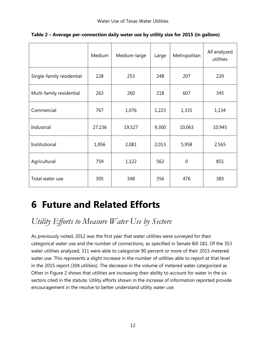|                           | Medium | Medium-large | Large | Metropolitan | All analyzed<br>utilities |
|---------------------------|--------|--------------|-------|--------------|---------------------------|
| Single-family residential | 228    | 253          | 248   | 207          | 229                       |
| Multi-family residential  | 263    | 260          | 218   | 607          | 345                       |
| Commercial                | 767    | 1,076        | 1,223 | 1,335        | 1,134                     |
| Industrial                | 27,236 | 19,527       | 9,300 | 10,063       | 10,945                    |
| Institutional             | 1,956  | 2,081        | 2,013 | 5,958        | 2,565                     |
| Agricultural              | 759    | 1,122        | 562   | $\mathbf 0$  | 851                       |
| Total water use           | 305    | 348          | 356   | 476          | 383                       |

**Table 2 – Average per-connection daily water use by utility size for 2015 (in gallons)**

## <span id="page-16-0"></span>**6 Future and Related Efforts**

<span id="page-16-1"></span>*Utility Efforts to Measure Water Use by Sectors*

As previously noted, 2012 was the first year that water utilities were surveyed for their categorical water use and the number of connections, as specified in Senate Bill 181. Of the 353 water utilities analyzed, 311 were able to categorize 90 percent or more of their 2015 metered water use. This represents a slight increase in the number of utilities able to report at that level in the 2015 report (304 utilities). The decrease in the volume of metered water categorized as Other in Figure 2 shows that utilities are increasing their ability to account for water in the six sectors cited in the statute. Utility efforts shown in the increase of information reported provide encouragement in the resolve to better understand utility water use.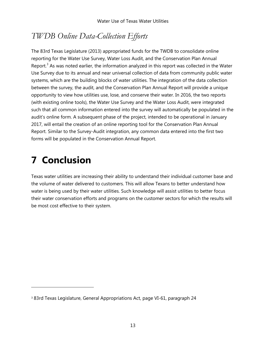### <span id="page-17-0"></span>*TWDB Online Data-Collection Efforts*

The 83rd Texas Legislature (2013) appropriated funds for the TWDB to consolidate online reporting for the Water Use Survey, Water Loss Audit, and the Conservation Plan Annual Report.<sup>[3](#page-17-2)</sup> As was noted earlier, the information analyzed in this report was collected in the Water Use Survey due to its annual and near universal collection of data from community public water systems, which are the building blocks of water utilities. The integration of the data collection between the survey, the audit, and the Conservation Plan Annual Report will provide a unique opportunity to view how utilities use, lose, and conserve their water. In 2016, the two reports (with existing online tools), the Water Use Survey and the Water Loss Audit, were integrated such that all common information entered into the survey will automatically be populated in the audit's online form. A subsequent phase of the project, intended to be operational in January 2017, will entail the creation of an online reporting tool for the Conservation Plan Annual Report. Similar to the Survey-Audit integration, any common data entered into the first two forms will be populated in the Conservation Annual Report.

## <span id="page-17-1"></span>**7 Conclusion**

Texas water utilities are increasing their ability to understand their individual customer base and the volume of water delivered to customers. This will allow Texans to better understand how water is being used by their water utilities. Such knowledge will assist utilities to better focus their water conservation efforts and programs on the customer sectors for which the results will be most cost effective to their system.

<span id="page-17-2"></span><sup>3</sup> 83rd Texas Legislature, General Appropriations Act, page VI-61, paragraph 24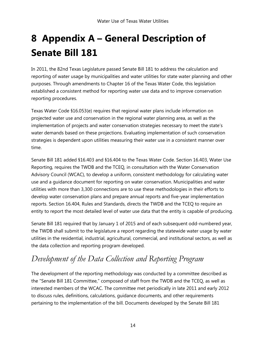## <span id="page-18-0"></span>**8 Appendix A – General Description of Senate Bill 181**

In 2011, the 82nd Texas Legislature passed Senate Bill 181 to address the calculation and reporting of water usage by municipalities and water utilities for state water planning and other purposes. Through amendments to Chapter 16 of the Texas Water Code, this legislation established a consistent method for reporting water use data and to improve conservation reporting procedures.

Texas Water Code §16.053(e) requires that regional water plans include information on projected water use and conservation in the regional water planning area, as well as the implementation of projects and water conservation strategies necessary to meet the state's water demands based on these projections. Evaluating implementation of such conservation strategies is dependent upon utilities measuring their water use in a consistent manner over time.

Senate Bill 181 added §16.403 and §16.404 to the Texas Water Code. Section 16.403, Water Use Reporting, requires the TWDB and the TCEQ, in consultation with the Water Conservation Advisory Council (WCAC), to develop a uniform, consistent methodology for calculating water use and a guidance document for reporting on water conservation. Municipalities and water utilities with more than 3,300 connections are to use these methodologies in their efforts to develop water conservation plans and prepare annual reports and five-year implementation reports. Section 16.404, Rules and Standards, directs the TWDB and the TCEQ to require an entity to report the most detailed level of water use data that the entity is capable of producing.

Senate Bill 181 required that by January 1 of 2015 and of each subsequent odd-numbered year, the TWDB shall submit to the legislature a report regarding the statewide water usage by water utilities in the residential, industrial, agricultural, commercial, and institutional sectors, as well as the data collection and reporting program developed.

### <span id="page-18-1"></span>*Development of the Data Collection and Reporting Program*

The development of the reporting methodology was conducted by a committee described as the "Senate Bill 181 Committee," composed of staff from the TWDB and the TCEQ, as well as interested members of the WCAC. The committee met periodically in late 2011 and early 2012 to discuss rules, definitions, calculations, guidance documents, and other requirements pertaining to the implementation of the bill. Documents developed by the Senate Bill 181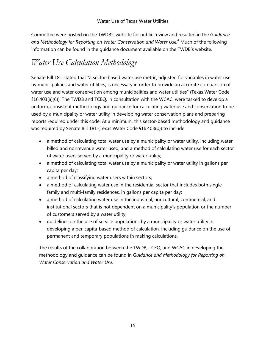Committee were posted on the TWDB's website for public review and resulted in the *Guidance and Methodology for Reporting on Water Conservation and Water Use.4* Much of the following information can be found in the guidance document available on the TWDB's website.

### <span id="page-19-0"></span>*Water Use Calculation Methodology*

Senate Bill 181 stated that "a sector-based water use metric, adjusted for variables in water use by municipalities and water utilities, is necessary in order to provide an accurate comparison of water use and water conservation among municipalities and water utilities" (Texas Water Code §16.403(a)(6)). The TWDB and TCEQ, in consultation with the WCAC, were tasked to develop a uniform, consistent methodology and guidance for calculating water use and conservation to be used by a municipality or water utility in developing water conservation plans and preparing reports required under this code. At a minimum, this sector-based methodology and guidance was required by Senate Bill 181 (Texas Water Code §16.403(b)) to include

- a method of calculating total water use by a municipality or water utility, including water billed and nonrevenue water used, and a method of calculating water use for each sector of water users served by a municipality or water utility;
- a method of calculating total water use by a municipality or water utility in gallons per capita per day;
- a method of classifying water users within sectors;
- a method of calculating water use in the residential sector that includes both singlefamily and multi-family residences, in gallons per capita per day;
- a method of calculating water use in the industrial, agricultural, commercial, and institutional sectors that is not dependent on a municipality's population or the number of customers served by a water utility;
- guidelines on the use of service populations by a municipality or water utility in developing a per-capita-based method of calculation, including guidance on the use of permanent and temporary populations in making calculations.

The results of the collaboration between the TWDB, TCEQ, and WCAC in developing the methodology and guidance can be found in *Guidance and Methodology for Reporting on Water Conservation and Water Use*.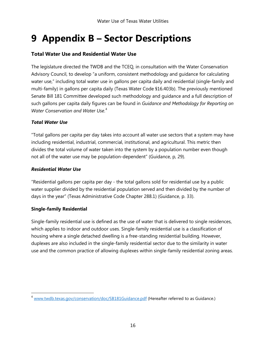## <span id="page-20-0"></span>**9 Appendix B – Sector Descriptions**

### **Total Water Use and Residential Water Use**

The legislature directed the TWDB and the TCEQ, in consultation with the Water Conservation Advisory Council, to develop "a uniform, consistent methodology and guidance for calculating water use," including total water use in gallons per capita daily and residential (single-family and multi-family) in gallons per capita daily (Texas Water Code §16.403b). The previously mentioned Senate Bill 181 Committee developed such methodology and guidance and a full description of such gallons per capita daily figures can be found in *Guidance and Methodology for Reporting on Water Conservation and Water Use*. [4](#page-20-1)

### *Total Water Use*

"Total gallons per capita per day takes into account all water use sectors that a system may have including residential, industrial, commercial, institutional, and agricultural. This metric then divides the total volume of water taken into the system by a population number even though not all of the water use may be population-dependent" (Guidance, p, 29).

### *Residential Water Use*

"Residential gallons per capita per day - the total gallons sold for residential use by a public water supplier divided by the residential population served and then divided by the number of days in the year" (Texas Administrative Code Chapter 288.1) (Guidance, p. 33).

#### **Single-family Residential**

 $\overline{a}$ 

Single-family residential use is defined as the use of water that is delivered to single residences, which applies to indoor and outdoor uses. Single-family residential use is a classification of housing where a single detached dwelling is a free-standing residential building. However, duplexes are also included in the single-family residential sector due to the similarity in water use and the common practice of allowing duplexes within single-family residential zoning areas.

<span id="page-20-1"></span> $4$  [www.twdb.texas.gov/conservation/doc/SB181Guidance.pdf](http://www.twdb.texas.gov/conservation/doc/SB181Guidance.pdf) (Hereafter referred to as Guidance.)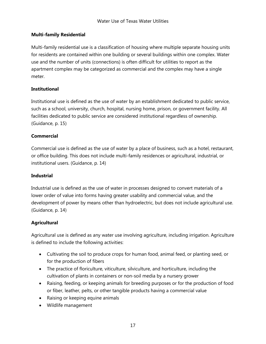#### **Multi-family Residential**

Multi-family residential use is a classification of housing where multiple separate housing units for residents are contained within one building or several buildings within one complex. Water use and the number of units (connections) is often difficult for utilities to report as the apartment complex may be categorized as commercial and the complex may have a single meter.

#### **Institutional**

Institutional use is defined as the use of water by an establishment dedicated to public service, such as a school, university, church, hospital, nursing home, prison, or government facility. All facilities dedicated to public service are considered institutional regardless of ownership. (Guidance, p. 15)

### **Commercial**

Commercial use is defined as the use of water by a place of business, such as a hotel, restaurant, or office building. This does not include multi-family residences or agricultural, industrial, or institutional users. (Guidance, p. 14)

#### **Industrial**

Industrial use is defined as the use of water in processes designed to convert materials of a lower order of value into forms having greater usability and commercial value, and the development of power by means other than hydroelectric, but does not include agricultural use. (Guidance, p. 14)

### **Agricultural**

Agricultural use is defined as any water use involving agriculture, including irrigation. Agriculture is defined to include the following activities:

- Cultivating the soil to produce crops for human food, animal feed, or planting seed, or for the production of fibers
- The practice of floriculture, viticulture, silviculture, and horticulture, including the cultivation of plants in containers or non-soil media by a nursery grower
- Raising, feeding, or keeping animals for breeding purposes or for the production of food or fiber, leather, pelts, or other tangible products having a commercial value
- Raising or keeping equine animals
- Wildlife management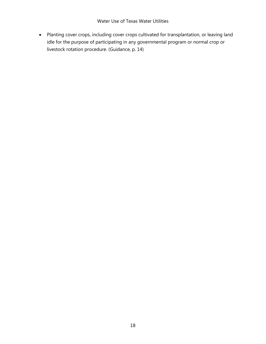• Planting cover crops, including cover crops cultivated for transplantation, or leaving land idle for the purpose of participating in any governmental program or normal crop or livestock rotation procedure. (Guidance, p. 14)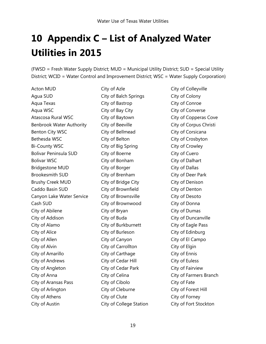## <span id="page-23-0"></span>**10 Appendix C – List of Analyzed Water Utilities in 2015**

(FWSD = Fresh Water Supply District; MUD = Municipal Utility District; SUD = Special Utility District; WCID = Water Control and Improvement District; WSC = Water Supply Corporation)

Acton MUD Agua SUD Aqua Texas Aqua WSC Atascosa Rural WSC Benbrook Water Authority Benton City WSC Bethesda WSC Bi-County WSC Bolivar Peninsula SUD Bolivar WSC Bridgestone MUD Brookesmith SUD Brushy Creek MUD Caddo Basin SUD Canyon Lake Water Service Cash SUD City of Abilene City of Addison City of Alamo City of Alice City of Allen City of Alvin City of Amarillo City of Andrews City of Angleton City of Anna City of Aransas Pass City of Arlington City of Athens City of Austin

City of Azle City of Balch Springs City of Bastrop City of Bay City City of Baytown City of Beeville City of Bellmead City of Belton City of Big Spring City of Boerne City of Bonham City of Borger City of Brenham City of Bridge City City of Brownfield City of Brownsville City of Brownwood City of Bryan City of Buda City of Burkburnett City of Burleson City of Canyon City of Carrollton City of Carthage City of Cedar Hill City of Cedar Park City of Celina City of Cibolo City of Cleburne City of Clute City of College Station City of Colleyville City of Colony City of Conroe City of Converse City of Copperas Cove City of Corpus Christi City of Corsicana City of Crosbyton City of Crowley City of Cuero City of Dalhart City of Dallas City of Deer Park City of Denison City of Denton City of Desoto City of Donna City of Dumas City of Duncanville City of Eagle Pass City of Edinburg City of El Campo City of Elgin City of Ennis City of Euless City of Fairview City of Farmers Branch City of Fate City of Forest Hill City of Forney City of Fort Stockton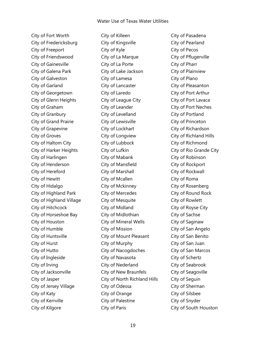City of Fort Worth City of Fredericksburg City of Freeport City of Friendswood City of Gainesville City of Galena Park City of Galveston City of Garland City of Georgetown City of Glenn Heights City of Graham City of Granbury City of Grand Prairie City of Grapevine City of Groves City of Haltom City City of Harker Heights City of Harlingen City of Henderson City of Hereford City of Hewitt City of Hidalgo City of Highland Park City of Highland Village City of Hitchcock City of Horseshoe Bay City of Houston City of Humble City of Huntsville City of Hurst City of Hutto City of Ingleside City of Irving City of Jacksonville City of Jasper City of Jersey Village City of Katy City of Kerrville City of Kilgore

City of Killeen City of Kingsville City of Kyle City of La Marque City of La Porte City of Lake Jackson City of Lamesa City of Lancaster City of Laredo City of League City City of Leander City of Levelland City of Lewisville City of Lockhart City of Longview City of Lubbock City of Lufkin City of Mabank City of Mansfield City of Marshall City of Mcallen City of Mckinney City of Mercedes City of Mesquite City of Midland City of Midlothian City of Mineral Wells City of Mission City of Mount Pleasant City of Murphy City of Nacogdoches City of Navasota City of Nederland City of New Braunfels City of North Richland Hills City of Odessa City of Orange City of Palestine City of Paris

City of Pasadena City of Pearland City of Pecos City of Pflugerville City of Pharr City of Plainview City of Plano City of Pleasanton City of Port Arthur City of Port Lavaca City of Port Neches City of Portland City of Princeton City of Richardson City of Richland Hills City of Richmond City of Rio Grande City City of Robinson City of Rockport City of Rockwall City of Roma City of Rosenberg City of Round Rock City of Rowlett City of Royse City City of Sachse City of Saginaw City of San Angelo City of San Benito City of San Juan City of San Marcos City of Schertz City of Seabrook City of Seagoville City of Seguin City of Sherman City of Silsbee City of Snyder City of South Houston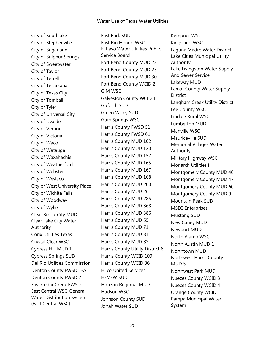City of Southlake City of Stephenville City of Sugarland City of Sulphur Springs City of Sweetwater City of Taylor City of Terrell City of Texarkana City of Texas City City of Tomball City of Tyler City of Universal City City of Uvalde City of Vernon City of Victoria City of Waco City of Watauga City of Waxahachie City of Weatherford City of Webster City of Weslaco City of West University Place City of Wichita Falls City of Woodway City of Wylie Clear Brook City MUD Clear Lake City Water Authority Corix Utilities Texas Crystal Clear WSC Cypress Hill MUD 1 Cypress Springs SUD Del Rio Utilities Commission Denton County FWSD 1-A Denton County FWSD 7 East Cedar Creek FWSD East Central WSC-General Water Distribution System (East Central WSC)

East Fork SUD East Rio Hondo WSC El Paso Water Utilities Public Service Board Fort Bend County MUD 23 Fort Bend County MUD 25 Fort Bend County MUD 30 Fort Bend County WCID 2 G M WSC Galveston County WCID 1 Goforth SUD Green Valley SUD Gum Springs WSC Harris County FWSD 51 Harris County FWSD 61 Harris County MUD 102 Harris County MUD 120 Harris County MUD 157 Harris County MUD 165 Harris County MUD 167 Harris County MUD 168 Harris County MUD 200 Harris County MUD 26 Harris County MUD 285 Harris County MUD 368 Harris County MUD 386 Harris County MUD 55 Harris County MUD 71 Harris County MUD 81 Harris County MUD 82 Harris County Utility District 6 Harris County WCID 109 Harris County WCID 36 Hilco United Services H-M-W SUD Horizon Regional MUD Hudson WSC Johnson County SUD Jonah Water SUD

Kempner WSC Kingsland WSC Laguna Madre Water District Lake Cities Municipal Utility Authority Lake Livingston Water Supply And Sewer Service Lakeway MUD Lamar County Water Supply **District** Langham Creek Utility District Lee County WSC Lindale Rural WSC Lumberton MUD Manville WSC Mauriceville SUD Memorial Villages Water Authority Military Highway WSC Monarch Utilities I Montgomery County MUD 46 Montgomery County MUD 47 Montgomery County MUD 60 Montgomery County MUD 9 Mountain Peak SUD MSEC Enterprises Mustang SUD New Caney MUD Newport MUD North Alamo WSC North Austin MUD 1 Northtown MUD Northwest Harris County MUD 5 Northwest Park MUD Nueces County WCID 3 Nueces County WCID 4 Orange County WCID 1 Pampa Municipal Water System